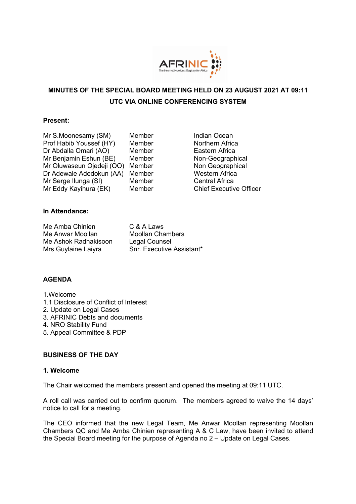

# **MINUTES OF THE SPECIAL BOARD MEETING HELD ON 23 AUGUST 2021 AT 09:11 UTC VIA ONLINE CONFERENCING SYSTEM**

#### **Present:**

| Memb |
|------|
| Memb |
| Memb |
| Memb |
| Memb |
| Memb |
| Memb |
| Memb |
|      |

er Samuel Indian Ocean Prof Habib Youssef (HY) Member Northern Africa er **Eastern Africa** er Non-Geographical er **Non Geographical** er **Western Africa** er **Central Africa** er Chief Executive Officer

### **In Attendance:**

Me Amba Chinien C & A Laws Me Anwar Moollan Moollan Chambers Me Ashok Radhakisoon Legal Counsel

Mrs Guylaine Laiyra Snr. Executive Assistant\*

### **AGENDA**

- 1.Welcome
- 1.1 Disclosure of Conflict of Interest
- 2. Update on Legal Cases
- 3. AFRINIC Debts and documents
- 4. NRO Stability Fund
- 5. Appeal Committee & PDP

### **BUSINESS OF THE DAY**

#### **1. Welcome**

The Chair welcomed the members present and opened the meeting at 09:11 UTC.

A roll call was carried out to confirm quorum. The members agreed to waive the 14 days' notice to call for a meeting.

The CEO informed that the new Legal Team, Me Anwar Moollan representing Moollan Chambers QC and Me Amba Chinien representing A & C Law, have been invited to attend the Special Board meeting for the purpose of Agenda no 2 – Update on Legal Cases.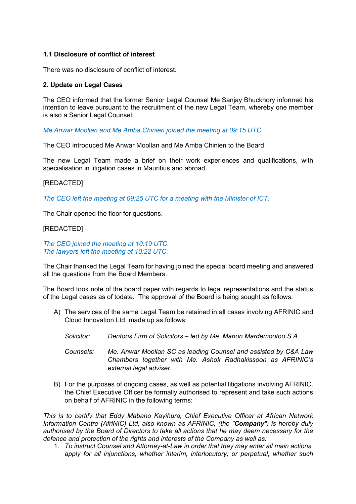### **1.1 Disclosure of conflict of interest**

There was no disclosure of conflict of interest.

### **2. Update on Legal Cases**

The CEO informed that the former Senior Legal Counsel Me Sanjay Bhuckhory informed his intention to leave pursuant to the recruitment of the new Legal Team, whereby one member is also a Senior Legal Counsel.

*Me Anwar Moollan and Me Amba Chinien joined the meeting at 09:15 UTC.*

The CEO introduced Me Anwar Moollan and Me Amba Chinien to the Board.

The new Legal Team made a brief on their work experiences and qualifications, with specialisation in litigation cases in Mauritius and abroad.

### [REDACTED]

*The CEO left the meeting at 09:25 UTC for a meeting with the Minister of ICT.* 

The Chair opened the floor for questions.

### [REDACTED]

*The CEO joined the meeting at 10:19 UTC. The lawyers left the meeting at 10:22 UTC.* 

The Chair thanked the Legal Team for having joined the special board meeting and answered all the questions from the Board Members.

The Board took note of the board paper with regards to legal representations and the status of the Legal cases as of todate. The approval of the Board is being sought as follows:

- A) The services of the same Legal Team be retained in all cases involving AFRINIC and Cloud Innovation Ltd, made up as follows:
	- *Solicitor: Dentons Firm of Solicitors – led by Me. Manon Mardemootoo S.A.*
	- *Counsels: Me. Anwar Moollan SC as leading Counsel and assisted by C&A Law Chambers together with Me. Ashok Radhakissoon as AFRINIC's external legal adviser.*
- B) For the purposes of ongoing cases, as well as potential litigations involving AFRINIC, the Chief Executive Officer be formally authorised to represent and take such actions on behalf of AFRINIC in the following terms:

*This is to certify that Eddy Mabano Kayihura, Chief Executive Officer at African Network Information Centre (AfriNIC) Ltd, also known as AFRINIC, (the "Company") is hereby duly authorised by the Board of Directors to take all actions that he may deem necessary for the defence and protection of the rights and interests of the Company as well as:*

1. *To instruct Counsel and Attorney-at-Law in order that they may enter all main actions, apply for all injunctions, whether interim, interlocutory, or perpetual, whether such*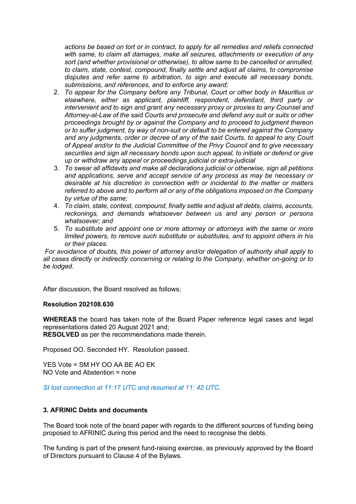*actions be based on tort or in contract, to apply for all remedies and reliefs connected with same, to claim all damages, make all seizures, attachments or execution of any sort (and whether provisional or otherwise), to allow same to be cancelled or annulled, to claim, state, contest, compound, finally settle and adjust all claims, to compromise disputes and refer same to arbitration, to sign and execute all necessary bonds, submissions, and references, and to enforce any award;*

- 2. *To appear for the Company before any Tribunal, Court or other body in Mauritius or elsewhere, either as applicant, plaintiff, respondent, defendant, third party or intervenient and to sign and grant any necessary proxy or proxies to any Counsel and Attorney-at-Law of the said Courts and prosecute and defend any suit or suits or other proceedings brought by or against the Company and to proceed to judgment thereon or to suffer judgment, by way of non-suit or default to be entered against the Company and any judgments, order or decree of any of the said Courts, to appeal to any Court of Appeal and/or to the Judicial Committee of the Privy Council and to give necessary securities and sign all necessary bonds upon such appeal, to initiate or defend or give up or withdraw any appeal or proceedings judicial or extra-judicial*
- 3. *To swear all affidavits and make all declarations judicial or otherwise, sign all petitions and applications, serve and accept service of any process as may be necessary or desirable at his discretion in connection with or incidental to the matter or matters referred to above and to perform all or any of the obligations imposed on the Company by virtue of the same;*
- 4. *To claim, state, contest, compound, finally settle and adjust all debts, claims, accounts, reckonings, and demands whatsoever between us and any person or persons whatsoever; and*
- 5. *To substitute and appoint one or more attorney or attorneys with the same or more limited powers, to remove such substitute or substitutes, and to appoint others in his or their places.*

*For avoidance of doubts, this power of attorney and/or delegation of authority shall apply to all cases directly or indirectly concerning or relating to the Company, whether on-going or to be lodged.*

After discussion, the Board resolved as follows;

#### **Resolution 202108.630**

**WHEREAS** the board has taken note of the Board Paper reference legal cases and legal representations dated 20 August 2021 and; **RESOLVED** as per the recommendations made therein.

Proposed OO. Seconded HY. Resolution passed.

YES Vote = SM HY OO AA BE AO EK NO Vote and Abstention = none

*SI lost connection at 11:17 UTC and resumed at 11: 42 UTC.*

#### **3. AFRINIC Debts and documents**

The Board took note of the board paper with regards to the different sources of funding being proposed to AFRINIC during this period and the need to recognise the debts.

The funding is part of the present fund-raising exercise, as previously approved by the Board of Directors pursuant to Clause 4 of the Bylaws.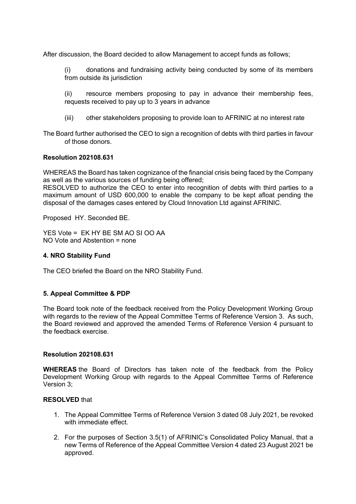After discussion, the Board decided to allow Management to accept funds as follows;

(i) donations and fundraising activity being conducted by some of its members from outside its jurisdiction

(ii) resource members proposing to pay in advance their membership fees, requests received to pay up to 3 years in advance

(iii) other stakeholders proposing to provide loan to AFRINIC at no interest rate

The Board further authorised the CEO to sign a recognition of debts with third parties in favour of those donors.

### **Resolution 202108.631**

WHEREAS the Board has taken cognizance of the financial crisis being faced by the Company as well as the various sources of funding being offered;

RESOLVED to authorize the CEO to enter into recognition of debts with third parties to a maximum amount of USD 600,000 to enable the company to be kept afloat pending the disposal of the damages cases entered by Cloud Innovation Ltd against AFRINIC.

Proposed HY. Seconded BE.

YES Vote = EK HY BE SM AO SI OO AA  $NO$  Vote and Abstention = none

#### **4. NRO Stability Fund**

The CEO briefed the Board on the NRO Stability Fund.

#### **5. Appeal Committee & PDP**

The Board took note of the feedback received from the Policy Development Working Group with regards to the review of the Appeal Committee Terms of Reference Version 3. As such, the Board reviewed and approved the amended Terms of Reference Version 4 pursuant to the feedback exercise.

#### **Resolution 202108.631**

**WHEREAS** the Board of Directors has taken note of the feedback from the Policy Development Working Group with regards to the Appeal Committee Terms of Reference Version 3;

#### **RESOLVED** that

- 1. The Appeal Committee Terms of Reference Version 3 dated 08 July 2021, be revoked with immediate effect.
- 2. For the purposes of Section 3.5(1) of AFRINIC's Consolidated Policy Manual, that a new Terms of Reference of the Appeal Committee Version 4 dated 23 August 2021 be approved.